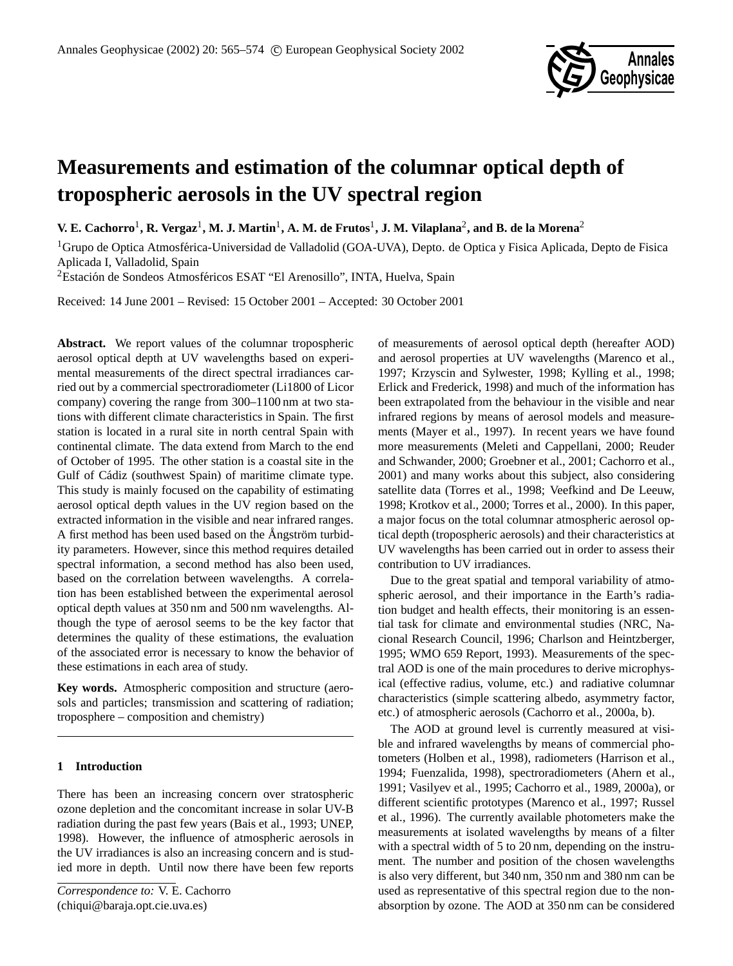

# **Measurements and estimation of the columnar optical depth of tropospheric aerosols in the UV spectral region**

 $V.$  **E.** Cachorro $^1$ , **R.** Vergaz $^1$ , M. J. Martin $^1$ , A. M. de Frutos $^1$ , J. M. Vilaplana $^2$ , and B. de la Morena $^2$ 

<sup>1</sup>Grupo de Optica Atmosférica-Universidad de Valladolid (GOA-UVA), Depto. de Optica y Fisica Aplicada, Depto de Fisica Aplicada I, Valladolid, Spain

<sup>2</sup>Estación de Sondeos Atmosféricos ESAT "El Arenosillo", INTA, Huelva, Spain

Received: 14 June 2001 – Revised: 15 October 2001 – Accepted: 30 October 2001

**Abstract.** We report values of the columnar tropospheric aerosol optical depth at UV wavelengths based on experimental measurements of the direct spectral irradiances carried out by a commercial spectroradiometer (Li1800 of Licor company) covering the range from 300–1100 nm at two stations with different climate characteristics in Spain. The first station is located in a rural site in north central Spain with continental climate. The data extend from March to the end of October of 1995. The other station is a coastal site in the Gulf of Cádiz (southwest Spain) of maritime climate type. This study is mainly focused on the capability of estimating aerosol optical depth values in the UV region based on the extracted information in the visible and near infrared ranges. A first method has been used based on the Angström turbidity parameters. However, since this method requires detailed spectral information, a second method has also been used, based on the correlation between wavelengths. A correlation has been established between the experimental aerosol optical depth values at 350 nm and 500 nm wavelengths. Although the type of aerosol seems to be the key factor that determines the quality of these estimations, the evaluation of the associated error is necessary to know the behavior of these estimations in each area of study.

**Key words.** Atmospheric composition and structure (aerosols and particles; transmission and scattering of radiation; troposphere – composition and chemistry)

# **1 Introduction**

There has been an increasing concern over stratospheric ozone depletion and the concomitant increase in solar UV-B radiation during the past few years (Bais et al., 1993; UNEP, 1998). However, the influence of atmospheric aerosols in the UV irradiances is also an increasing concern and is studied more in depth. Until now there have been few reports

*Correspondence to:* V. E. Cachorro (chiqui@baraja.opt.cie.uva.es)

of measurements of aerosol optical depth (hereafter AOD) and aerosol properties at UV wavelengths (Marenco et al., 1997; Krzyscin and Sylwester, 1998; Kylling et al., 1998; Erlick and Frederick, 1998) and much of the information has been extrapolated from the behaviour in the visible and near infrared regions by means of aerosol models and measurements (Mayer et al., 1997). In recent years we have found more measurements (Meleti and Cappellani, 2000; Reuder and Schwander, 2000; Groebner et al., 2001; Cachorro et al., 2001) and many works about this subject, also considering satellite data (Torres et al., 1998; Veefkind and De Leeuw, 1998; Krotkov et al., 2000; Torres et al., 2000). In this paper, a major focus on the total columnar atmospheric aerosol optical depth (tropospheric aerosols) and their characteristics at UV wavelengths has been carried out in order to assess their contribution to UV irradiances.

Due to the great spatial and temporal variability of atmospheric aerosol, and their importance in the Earth's radiation budget and health effects, their monitoring is an essential task for climate and environmental studies (NRC, Nacional Research Council, 1996; Charlson and Heintzberger, 1995; WMO 659 Report, 1993). Measurements of the spectral AOD is one of the main procedures to derive microphysical (effective radius, volume, etc.) and radiative columnar characteristics (simple scattering albedo, asymmetry factor, etc.) of atmospheric aerosols (Cachorro et al., 2000a, b).

The AOD at ground level is currently measured at visible and infrared wavelengths by means of commercial photometers (Holben et al., 1998), radiometers (Harrison et al., 1994; Fuenzalida, 1998), spectroradiometers (Ahern et al., 1991; Vasilyev et al., 1995; Cachorro et al., 1989, 2000a), or different scientific prototypes (Marenco et al., 1997; Russel et al., 1996). The currently available photometers make the measurements at isolated wavelengths by means of a filter with a spectral width of 5 to 20 nm, depending on the instrument. The number and position of the chosen wavelengths is also very different, but 340 nm, 350 nm and 380 nm can be used as representative of this spectral region due to the nonabsorption by ozone. The AOD at 350 nm can be considered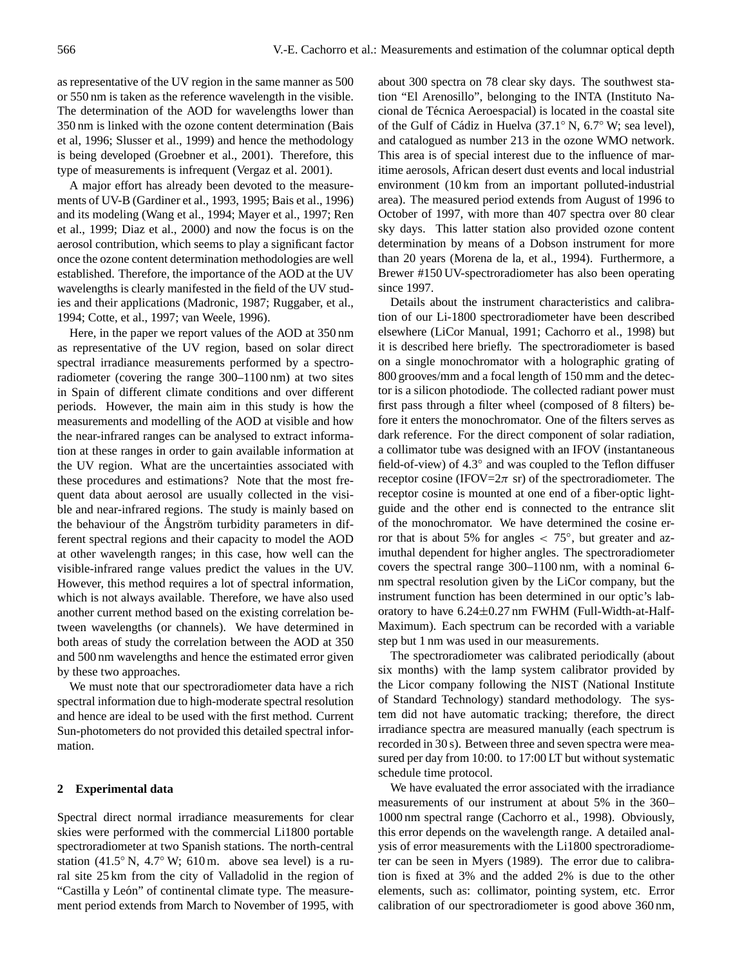as representative of the UV region in the same manner as 500 or 550 nm is taken as the reference wavelength in the visible. The determination of the AOD for wavelengths lower than 350 nm is linked with the ozone content determination (Bais et al, 1996; Slusser et al., 1999) and hence the methodology is being developed (Groebner et al., 2001). Therefore, this type of measurements is infrequent (Vergaz et al. 2001).

A major effort has already been devoted to the measurements of UV-B (Gardiner et al., 1993, 1995; Bais et al., 1996) and its modeling (Wang et al., 1994; Mayer et al., 1997; Ren et al., 1999; Diaz et al., 2000) and now the focus is on the aerosol contribution, which seems to play a significant factor once the ozone content determination methodologies are well established. Therefore, the importance of the AOD at the UV wavelengths is clearly manifested in the field of the UV studies and their applications (Madronic, 1987; Ruggaber, et al., 1994; Cotte, et al., 1997; van Weele, 1996).

Here, in the paper we report values of the AOD at 350 nm as representative of the UV region, based on solar direct spectral irradiance measurements performed by a spectroradiometer (covering the range 300–1100 nm) at two sites in Spain of different climate conditions and over different periods. However, the main aim in this study is how the measurements and modelling of the AOD at visible and how the near-infrared ranges can be analysed to extract information at these ranges in order to gain available information at the UV region. What are the uncertainties associated with these procedures and estimations? Note that the most frequent data about aerosol are usually collected in the visible and near-infrared regions. The study is mainly based on the behaviour of the Angström turbidity parameters in different spectral regions and their capacity to model the AOD at other wavelength ranges; in this case, how well can the visible-infrared range values predict the values in the UV. However, this method requires a lot of spectral information, which is not always available. Therefore, we have also used another current method based on the existing correlation between wavelengths (or channels). We have determined in both areas of study the correlation between the AOD at 350 and 500 nm wavelengths and hence the estimated error given by these two approaches.

We must note that our spectroradiometer data have a rich spectral information due to high-moderate spectral resolution and hence are ideal to be used with the first method. Current Sun-photometers do not provided this detailed spectral information.

## **2 Experimental data**

Spectral direct normal irradiance measurements for clear skies were performed with the commercial Li1800 portable spectroradiometer at two Spanish stations. The north-central station (41.5° N, 4.7° W; 610 m. above sea level) is a rural site 25 km from the city of Valladolid in the region of "Castilla y León" of continental climate type. The measurement period extends from March to November of 1995, with about 300 spectra on 78 clear sky days. The southwest station "El Arenosillo", belonging to the INTA (Instituto Nacional de Técnica Aeroespacial) is located in the coastal site of the Gulf of Cádiz in Huelva (37.1° N, 6.7° W; sea level), and catalogued as number 213 in the ozone WMO network. This area is of special interest due to the influence of maritime aerosols, African desert dust events and local industrial environment (10 km from an important polluted-industrial area). The measured period extends from August of 1996 to October of 1997, with more than 407 spectra over 80 clear sky days. This latter station also provided ozone content determination by means of a Dobson instrument for more than 20 years (Morena de la, et al., 1994). Furthermore, a Brewer #150 UV-spectroradiometer has also been operating since 1997.

Details about the instrument characteristics and calibration of our Li-1800 spectroradiometer have been described elsewhere (LiCor Manual, 1991; Cachorro et al., 1998) but it is described here briefly. The spectroradiometer is based on a single monochromator with a holographic grating of 800 grooves/mm and a focal length of 150 mm and the detector is a silicon photodiode. The collected radiant power must first pass through a filter wheel (composed of 8 filters) before it enters the monochromator. One of the filters serves as dark reference. For the direct component of solar radiation, a collimator tube was designed with an IFOV (instantaneous field-of-view) of 4.3◦ and was coupled to the Teflon diffuser receptor cosine (IFOV= $2\pi$  sr) of the spectroradiometer. The receptor cosine is mounted at one end of a fiber-optic lightguide and the other end is connected to the entrance slit of the monochromator. We have determined the cosine error that is about 5% for angles  $< 75^{\circ}$ , but greater and azimuthal dependent for higher angles. The spectroradiometer covers the spectral range 300–1100 nm, with a nominal 6 nm spectral resolution given by the LiCor company, but the instrument function has been determined in our optic's laboratory to have 6.24±0.27 nm FWHM (Full-Width-at-Half-Maximum). Each spectrum can be recorded with a variable step but 1 nm was used in our measurements.

The spectroradiometer was calibrated periodically (about six months) with the lamp system calibrator provided by the Licor company following the NIST (National Institute of Standard Technology) standard methodology. The system did not have automatic tracking; therefore, the direct irradiance spectra are measured manually (each spectrum is recorded in 30 s). Between three and seven spectra were measured per day from 10:00. to 17:00 LT but without systematic schedule time protocol.

We have evaluated the error associated with the irradiance measurements of our instrument at about 5% in the 360– 1000 nm spectral range (Cachorro et al., 1998). Obviously, this error depends on the wavelength range. A detailed analysis of error measurements with the Li1800 spectroradiometer can be seen in Myers (1989). The error due to calibration is fixed at 3% and the added 2% is due to the other elements, such as: collimator, pointing system, etc. Error calibration of our spectroradiometer is good above 360 nm,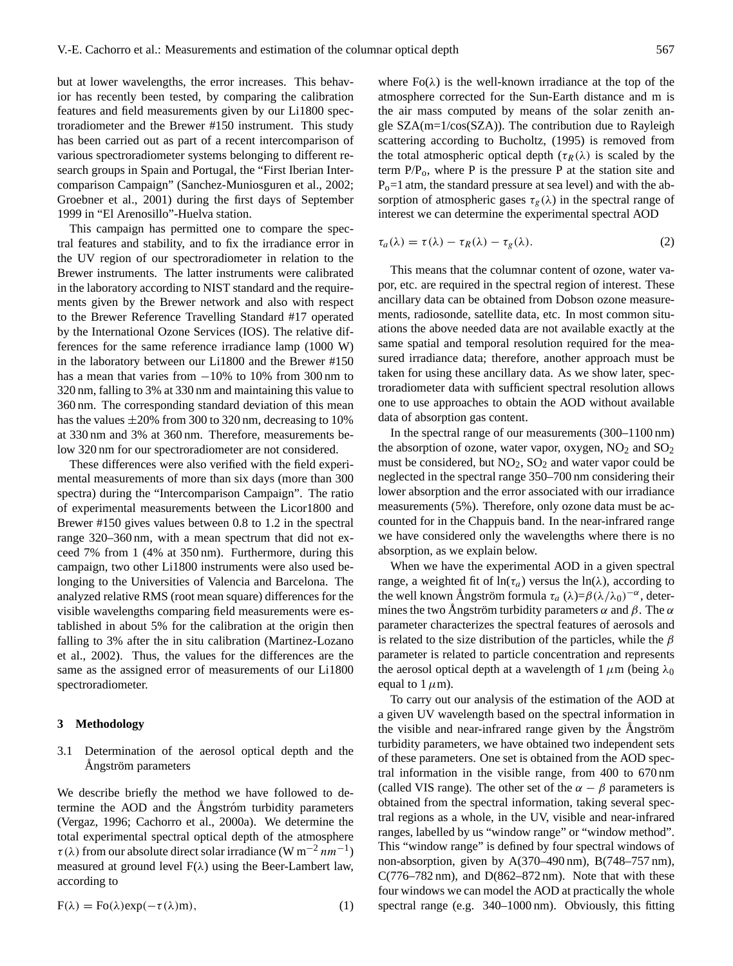but at lower wavelengths, the error increases. This behavior has recently been tested, by comparing the calibration features and field measurements given by our Li1800 spectroradiometer and the Brewer #150 instrument. This study has been carried out as part of a recent intercomparison of various spectroradiometer systems belonging to different research groups in Spain and Portugal, the "First Iberian Intercomparison Campaign" (Sanchez-Muniosguren et al., 2002; Groebner et al., 2001) during the first days of September 1999 in "El Arenosillo"-Huelva station.

This campaign has permitted one to compare the spectral features and stability, and to fix the irradiance error in the UV region of our spectroradiometer in relation to the Brewer instruments. The latter instruments were calibrated in the laboratory according to NIST standard and the requirements given by the Brewer network and also with respect to the Brewer Reference Travelling Standard #17 operated by the International Ozone Services (IOS). The relative differences for the same reference irradiance lamp (1000 W) in the laboratory between our Li1800 and the Brewer #150 has a mean that varies from −10% to 10% from 300 nm to 320 nm, falling to 3% at 330 nm and maintaining this value to 360 nm. The corresponding standard deviation of this mean has the values  $\pm 20\%$  from 300 to 320 nm, decreasing to 10% at 330 nm and 3% at 360 nm. Therefore, measurements below 320 nm for our spectroradiometer are not considered.

These differences were also verified with the field experimental measurements of more than six days (more than 300 spectra) during the "Intercomparison Campaign". The ratio of experimental measurements between the Licor1800 and Brewer #150 gives values between 0.8 to 1.2 in the spectral range 320–360 nm, with a mean spectrum that did not exceed 7% from 1 (4% at 350 nm). Furthermore, during this campaign, two other Li1800 instruments were also used belonging to the Universities of Valencia and Barcelona. The analyzed relative RMS (root mean square) differences for the visible wavelengths comparing field measurements were established in about 5% for the calibration at the origin then falling to 3% after the in situ calibration (Martinez-Lozano et al., 2002). Thus, the values for the differences are the same as the assigned error of measurements of our Li1800 spectroradiometer.

#### **3 Methodology**

# 3.1 Determination of the aerosol optical depth and the Ångström parameters

We describe briefly the method we have followed to determine the AOD and the Angstróm turbidity parameters (Vergaz, 1996; Cachorro et al., 2000a). We determine the total experimental spectral optical depth of the atmosphere  $\tau(\lambda)$  from our absolute direct solar irradiance (W m<sup>-2</sup> nm<sup>-1</sup>) measured at ground level  $F(\lambda)$  using the Beer-Lambert law, according to

$$
F(\lambda) = Fo(\lambda)exp(-\tau(\lambda)m),
$$
\n(1)

where  $Fo(\lambda)$  is the well-known irradiance at the top of the atmosphere corrected for the Sun-Earth distance and m is the air mass computed by means of the solar zenith angle SZA(m=1/cos(SZA)). The contribution due to Rayleigh scattering according to Bucholtz, (1995) is removed from the total atmospheric optical depth ( $\tau_R(\lambda)$ ) is scaled by the term  $P/P<sub>o</sub>$ , where P is the pressure P at the station site and  $P<sub>o</sub>=1$  atm, the standard pressure at sea level) and with the absorption of atmospheric gases  $\tau_g(\lambda)$  in the spectral range of interest we can determine the experimental spectral AOD

$$
\tau_a(\lambda) = \tau(\lambda) - \tau_R(\lambda) - \tau_g(\lambda). \tag{2}
$$

This means that the columnar content of ozone, water vapor, etc. are required in the spectral region of interest. These ancillary data can be obtained from Dobson ozone measurements, radiosonde, satellite data, etc. In most common situations the above needed data are not available exactly at the same spatial and temporal resolution required for the measured irradiance data; therefore, another approach must be taken for using these ancillary data. As we show later, spectroradiometer data with sufficient spectral resolution allows one to use approaches to obtain the AOD without available data of absorption gas content.

In the spectral range of our measurements (300–1100 nm) the absorption of ozone, water vapor, oxygen,  $NO<sub>2</sub>$  and  $SO<sub>2</sub>$ must be considered, but  $NO<sub>2</sub>$ ,  $SO<sub>2</sub>$  and water vapor could be neglected in the spectral range 350–700 nm considering their lower absorption and the error associated with our irradiance measurements (5%). Therefore, only ozone data must be accounted for in the Chappuis band. In the near-infrared range we have considered only the wavelengths where there is no absorption, as we explain below.

When we have the experimental AOD in a given spectral range, a weighted fit of  $ln(\tau_a)$  versus the  $ln(\lambda)$ , according to the well known Ångström formula  $τ_a (λ)=β(λ/λ_0)^{-α}$ , determines the two Angström turbidity parameters  $\alpha$  and  $\beta$ . The  $\alpha$ parameter characterizes the spectral features of aerosols and is related to the size distribution of the particles, while the  $\beta$ parameter is related to particle concentration and represents the aerosol optical depth at a wavelength of  $1 \mu m$  (being  $\lambda_0$ equal to  $1 \mu$ m).

To carry out our analysis of the estimation of the AOD at a given UV wavelength based on the spectral information in the visible and near-infrared range given by the Angström turbidity parameters, we have obtained two independent sets of these parameters. One set is obtained from the AOD spectral information in the visible range, from 400 to 670 nm (called VIS range). The other set of the  $\alpha - \beta$  parameters is obtained from the spectral information, taking several spectral regions as a whole, in the UV, visible and near-infrared ranges, labelled by us "window range" or "window method". This "window range" is defined by four spectral windows of non-absorption, given by A(370–490 nm), B(748–757 nm),  $C(776–782 \text{ nm})$ , and  $D(862–872 \text{ nm})$ . Note that with these four windows we can model the AOD at practically the whole spectral range (e.g. 340–1000 nm). Obviously, this fitting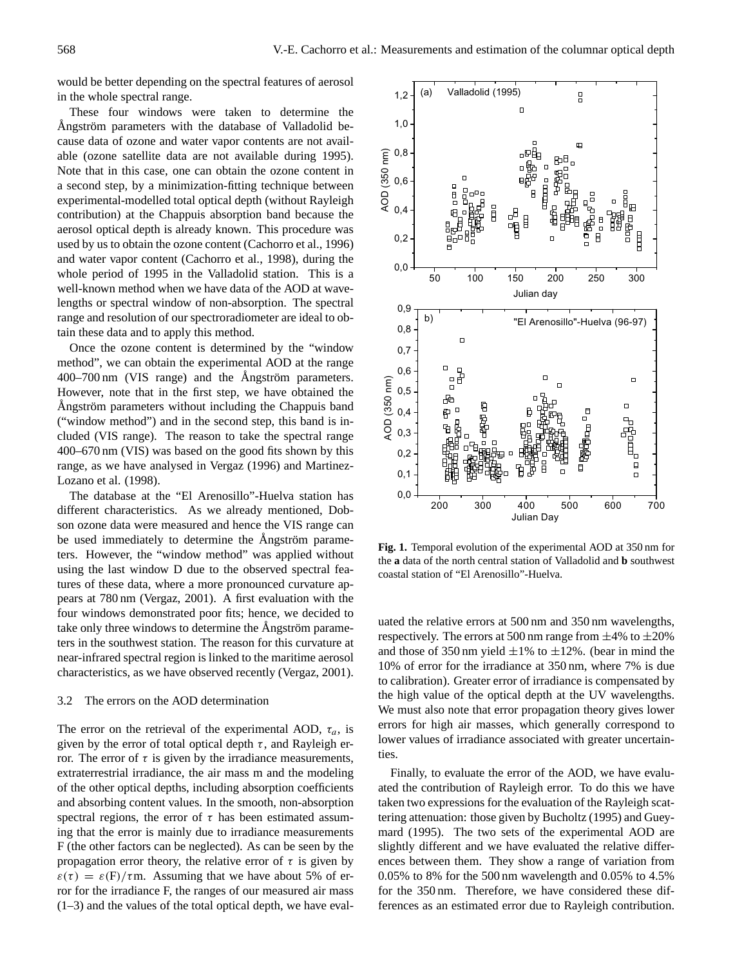would be better depending on the spectral features of aerosol in the whole spectral range.

These four windows were taken to determine the Angström parameters with the database of Valladolid because data of ozone and water vapor contents are not available (ozone satellite data are not available during 1995). Note that in this case, one can obtain the ozone content in a second step, by a minimization-fitting technique between experimental-modelled total optical depth (without Rayleigh contribution) at the Chappuis absorption band because the aerosol optical depth is already known. This procedure was used by us to obtain the ozone content (Cachorro et al., 1996) and water vapor content (Cachorro et al., 1998), during the whole period of 1995 in the Valladolid station. This is a well-known method when we have data of the AOD at wavelengths or spectral window of non-absorption. The spectral range and resolution of our spectroradiometer are ideal to obtain these data and to apply this method.

Once the ozone content is determined by the "window method", we can obtain the experimental AOD at the range  $400-700$  nm (VIS range) and the Ångström parameters. However, note that in the first step, we have obtained the Angström parameters without including the Chappuis band ("window method") and in the second step, this band is included (VIS range). The reason to take the spectral range 400–670 nm (VIS) was based on the good fits shown by this range, as we have analysed in Vergaz (1996) and Martinez-Lozano et al. (1998).

The database at the "El Arenosillo"-Huelva station has different characteristics. As we already mentioned, Dobson ozone data were measured and hence the VIS range can be used immediately to determine the Angström parameters. However, the "window method" was applied without using the last window D due to the observed spectral features of these data, where a more pronounced curvature appears at 780 nm (Vergaz, 2001). A first evaluation with the four windows demonstrated poor fits; hence, we decided to take only three windows to determine the Angström parameters in the southwest station. The reason for this curvature at near-infrared spectral region is linked to the maritime aerosol characteristics, as we have observed recently (Vergaz, 2001).

#### 3.2 The errors on the AOD determination

The error on the retrieval of the experimental AOD,  $\tau_a$ , is given by the error of total optical depth  $\tau$ , and Rayleigh error. The error of  $τ$  is given by the irradiance measurements, extraterrestrial irradiance, the air mass m and the modeling of the other optical depths, including absorption coefficients and absorbing content values. In the smooth, non-absorption spectral regions, the error of  $\tau$  has been estimated assuming that the error is mainly due to irradiance measurements F (the other factors can be neglected). As can be seen by the propagation error theory, the relative error of  $\tau$  is given by  $\varepsilon(\tau) = \varepsilon(F)/\tau$ m. Assuming that we have about 5% of error for the irradiance F, the ranges of our measured air mass (1–3) and the values of the total optical depth, we have eval-



**Fig. 1.** Temporal evolution of the experimental AOD at 350 nm for the **a** data of the north central station of Valladolid and **b** southwest coastal station of "El Arenosillo"-Huelva.

uated the relative errors at 500 nm and 350 nm wavelengths, respectively. The errors at 500 nm range from  $\pm$ 4% to  $\pm$ 20% and those of 350 nm yield  $\pm 1\%$  to  $\pm 12\%$ . (bear in mind the 10% of error for the irradiance at 350 nm, where 7% is due to calibration). Greater error of irradiance is compensated by the high value of the optical depth at the UV wavelengths. We must also note that error propagation theory gives lower errors for high air masses, which generally correspond to lower values of irradiance associated with greater uncertainties.

Finally, to evaluate the error of the AOD, we have evaluated the contribution of Rayleigh error. To do this we have taken two expressions for the evaluation of the Rayleigh scattering attenuation: those given by Bucholtz (1995) and Gueymard (1995). The two sets of the experimental AOD are slightly different and we have evaluated the relative differences between them. They show a range of variation from 0.05% to 8% for the 500 nm wavelength and 0.05% to 4.5% for the 350 nm. Therefore, we have considered these differences as an estimated error due to Rayleigh contribution.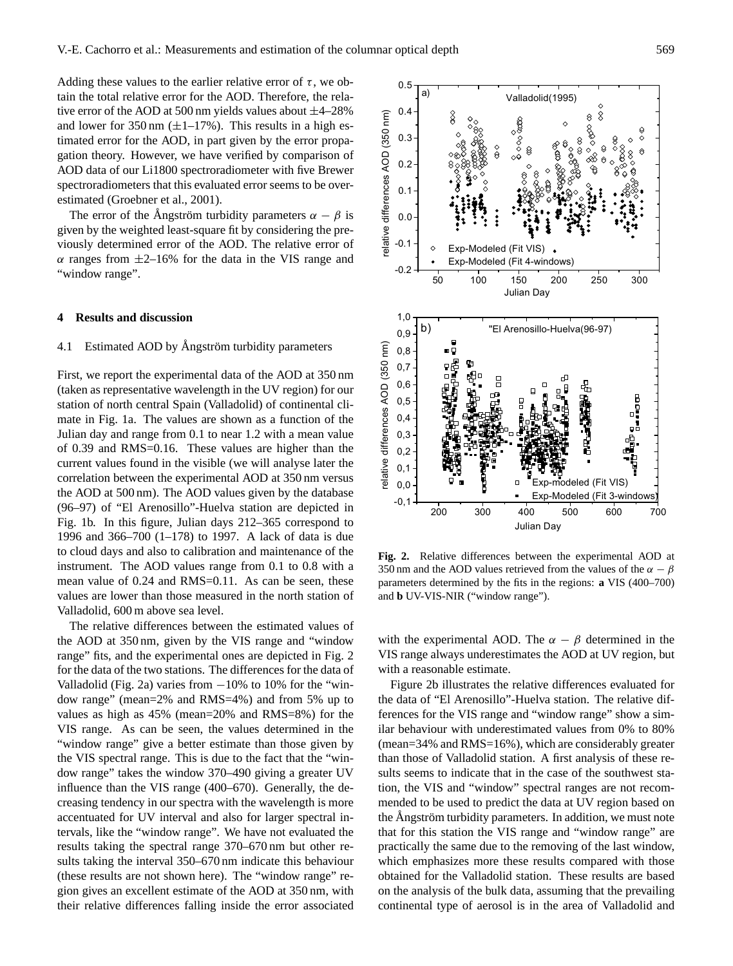Adding these values to the earlier relative error of  $\tau$ , we obtain the total relative error for the AOD. Therefore, the relative error of the AOD at 500 nm yields values about  $\pm$ 4–28% and lower for 350 nm  $(\pm 1 - 17\%)$ . This results in a high estimated error for the AOD, in part given by the error propagation theory. However, we have verified by comparison of AOD data of our Li1800 spectroradiometer with five Brewer spectroradiometers that this evaluated error seems to be overestimated (Groebner et al., 2001).

The error of the Angström turbidity parameters  $\alpha - \beta$  is given by the weighted least-square fit by considering the previously determined error of the AOD. The relative error of  $\alpha$  ranges from  $\pm$ 2–16% for the data in the VIS range and "window range".

#### **4 Results and discussion**

# 4.1 Estimated AOD by Ångström turbidity parameters

First, we report the experimental data of the AOD at 350 nm (taken as representative wavelength in the UV region) for our station of north central Spain (Valladolid) of continental climate in Fig. 1a. The values are shown as a function of the Julian day and range from 0.1 to near 1.2 with a mean value of 0.39 and RMS=0.16. These values are higher than the current values found in the visible (we will analyse later the correlation between the experimental AOD at 350 nm versus the AOD at 500 nm). The AOD values given by the database (96–97) of "El Arenosillo"-Huelva station are depicted in Fig. 1b. In this figure, Julian days 212–365 correspond to 1996 and 366–700 (1–178) to 1997. A lack of data is due to cloud days and also to calibration and maintenance of the instrument. The AOD values range from 0.1 to 0.8 with a mean value of 0.24 and RMS=0.11. As can be seen, these values are lower than those measured in the north station of Valladolid, 600 m above sea level.

The relative differences between the estimated values of the AOD at 350 nm, given by the VIS range and "window range" fits, and the experimental ones are depicted in Fig. 2 for the data of the two stations. The differences for the data of Valladolid (Fig. 2a) varies from  $-10\%$  to 10% for the "window range" (mean=2% and RMS=4%) and from 5% up to values as high as 45% (mean=20% and RMS=8%) for the VIS range. As can be seen, the values determined in the "window range" give a better estimate than those given by the VIS spectral range. This is due to the fact that the "window range" takes the window 370–490 giving a greater UV influence than the VIS range (400–670). Generally, the decreasing tendency in our spectra with the wavelength is more accentuated for UV interval and also for larger spectral intervals, like the "window range". We have not evaluated the results taking the spectral range 370–670 nm but other results taking the interval 350–670 nm indicate this behaviour (these results are not shown here). The "window range" region gives an excellent estimate of the AOD at 350 nm, with their relative differences falling inside the error associated



parameters determined by the fits in the regions: **a** VIS  $(400-700)$ **Fig. 2.** Relative differences between the experimental AOD at 350 nm and the AOD values retrieved from the values of the  $\alpha - \beta$ and **b** UV-VIS-NIR ("window range").

with the experimental AOD. The  $\alpha - \beta$  determined in the VIS range always underestimates the AOD at UV region, but with a reasonable estimate.

Figure 2b illustrates the relative differences evaluated for the data of "El Arenosillo"-Huelva station. The relative differences for the VIS range and "window range" show a similar behaviour with underestimated values from 0% to 80% (mean=34% and RMS=16%), which are considerably greater than those of Valladolid station. A first analysis of these results seems to indicate that in the case of the southwest station, the VIS and "window" spectral ranges are not recommended to be used to predict the data at UV region based on the Angström turbidity parameters. In addition, we must note that for this station the VIS range and "window range" are practically the same due to the removing of the last window, which emphasizes more these results compared with those obtained for the Valladolid station. These results are based on the analysis of the bulk data, assuming that the prevailing continental type of aerosol is in the area of Valladolid and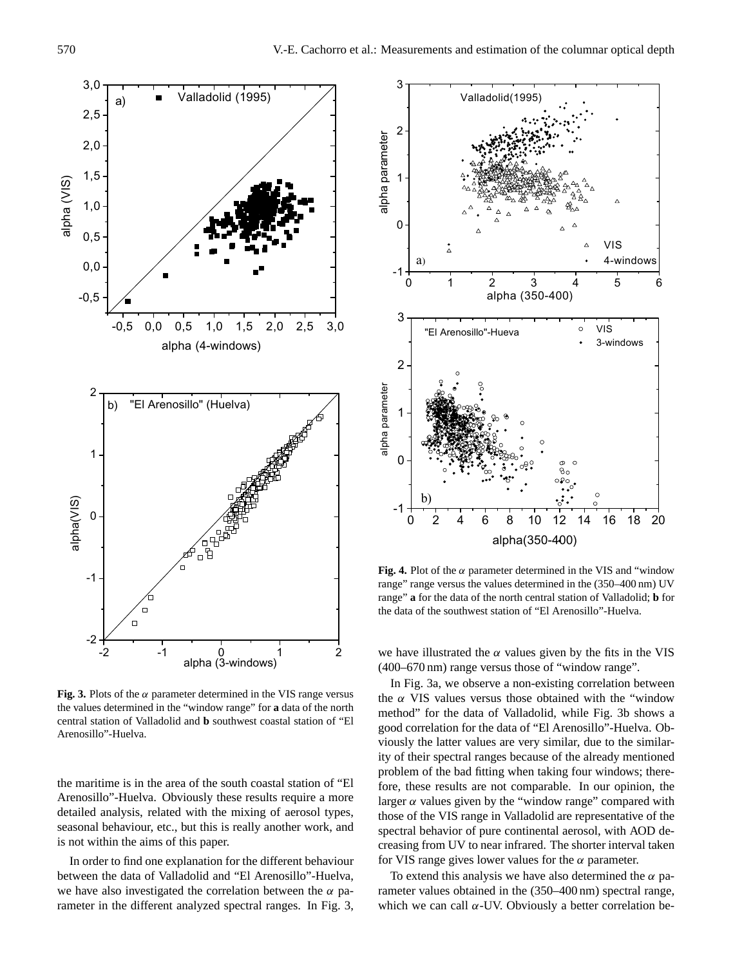

**Fig. 3.** Plots of the  $\alpha$  parameter determined in the VIS range versus the values determined in the "window range" for **a** data of the north central station of Valladolid and **b** southwest coastal station of "El Arenosillo"-Huelva.

the maritime is in the area of the south coastal station of "El Arenosillo"-Huelva. Obviously these results require a more detailed analysis, related with the mixing of aerosol types, seasonal behaviour, etc., but this is really another work, and is not within the aims of this paper.

In order to find one explanation for the different behaviour between the data of Valladolid and "El Arenosillo"-Huelva, we have also investigated the correlation between the  $\alpha$  parameter in the different analyzed spectral ranges. In Fig. 3,



Fig. 4. Plot of the  $\alpha$  parameter determined in the VIS and "window range" range versus the values determined in the  $(350-400 \text{ nm})$  UV range" **a** for the data of the north central station of Valladolid; **b** for the data of the southwest station of "El Arenosillo"-Huelva.

we have illustrated the  $\alpha$  values given by the fits in the VIS (400–670 nm) range versus those of "window range".

In Fig. 3a, we observe a non-existing correlation between the  $\alpha$  VIS values versus those obtained with the "window" method" for the data of Valladolid, while Fig. 3b shows a good correlation for the data of "El Arenosillo"-Huelva. Obviously the latter values are very similar, due to the similarity of their spectral ranges because of the already mentioned problem of the bad fitting when taking four windows; therefore, these results are not comparable. In our opinion, the larger  $\alpha$  values given by the "window range" compared with those of the VIS range in Valladolid are representative of the spectral behavior of pure continental aerosol, with AOD decreasing from UV to near infrared. The shorter interval taken for VIS range gives lower values for the  $\alpha$  parameter.

To extend this analysis we have also determined the  $\alpha$  parameter values obtained in the (350–400 nm) spectral range, which we can call  $\alpha$ -UV. Obviously a better correlation be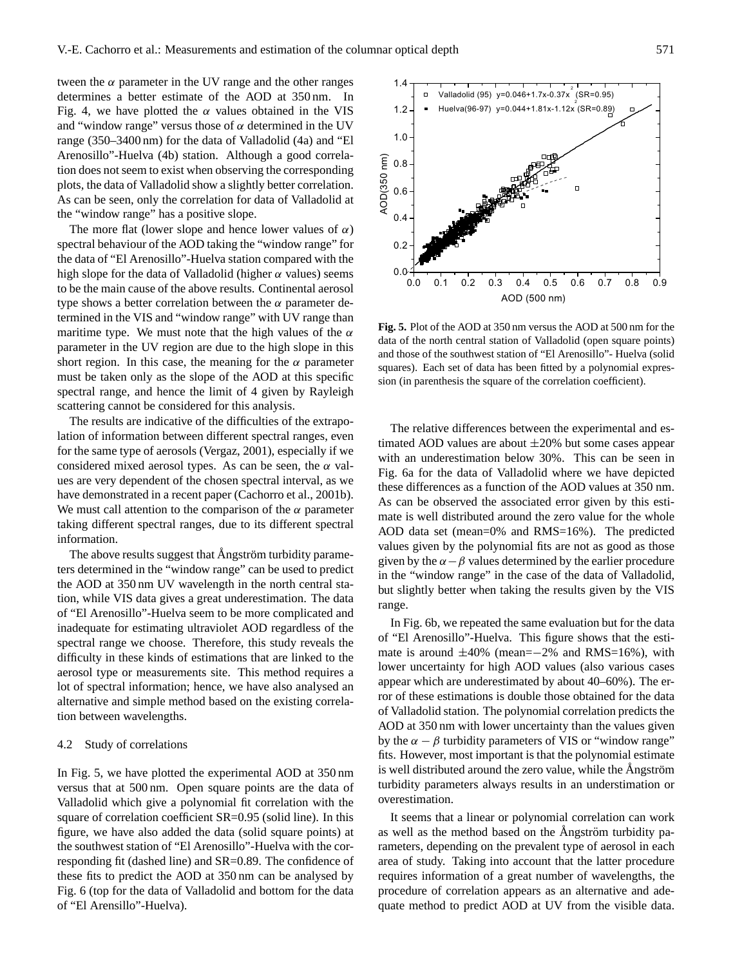tween the  $\alpha$  parameter in the UV range and the other ranges determines a better estimate of the AOD at 350 nm. In Fig. 4, we have plotted the  $\alpha$  values obtained in the VIS and "window range" versus those of  $\alpha$  determined in the UV range (350–3400 nm) for the data of Valladolid (4a) and "El Arenosillo"-Huelva (4b) station. Although a good correlation does not seem to exist when observing the corresponding plots, the data of Valladolid show a slightly better correlation. As can be seen, only the correlation for data of Valladolid at the "window range" has a positive slope.

The more flat (lower slope and hence lower values of  $\alpha$ ) spectral behaviour of the AOD taking the "window range" for the data of "El Arenosillo"-Huelva station compared with the high slope for the data of Valladolid (higher  $\alpha$  values) seems to be the main cause of the above results. Continental aerosol type shows a better correlation between the  $\alpha$  parameter determined in the VIS and "window range" with UV range than maritime type. We must note that the high values of the  $\alpha$ parameter in the UV region are due to the high slope in this short region. In this case, the meaning for the  $\alpha$  parameter must be taken only as the slope of the AOD at this specific spectral range, and hence the limit of 4 given by Rayleigh scattering cannot be considered for this analysis.

The results are indicative of the difficulties of the extrapolation of information between different spectral ranges, even for the same type of aerosols (Vergaz, 2001), especially if we considered mixed aerosol types. As can be seen, the  $\alpha$  values are very dependent of the chosen spectral interval, as we have demonstrated in a recent paper (Cachorro et al., 2001b). We must call attention to the comparison of the  $\alpha$  parameter taking different spectral ranges, due to its different spectral information.

The above results suggest that Ångström turbidity parameters determined in the "window range" can be used to predict the AOD at 350 nm UV wavelength in the north central station, while VIS data gives a great underestimation. The data of "El Arenosillo"-Huelva seem to be more complicated and inadequate for estimating ultraviolet AOD regardless of the spectral range we choose. Therefore, this study reveals the difficulty in these kinds of estimations that are linked to the aerosol type or measurements site. This method requires a lot of spectral information; hence, we have also analysed an alternative and simple method based on the existing correlation between wavelengths.

## 4.2 Study of correlations

In Fig. 5, we have plotted the experimental AOD at 350 nm versus that at 500 nm. Open square points are the data of Valladolid which give a polynomial fit correlation with the square of correlation coefficient SR=0.95 (solid line). In this figure, we have also added the data (solid square points) at the southwest station of "El Arenosillo"-Huelva with the corresponding fit (dashed line) and SR=0.89. The confidence of these fits to predict the AOD at 350 nm can be analysed by Fig. 6 (top for the data of Valladolid and bottom for the data of "El Arensillo"-Huelva).



**Fig. 5.** Plot of the AOD at 350 nm versus the AOD at 500 nm for the data of the north central station of Valladolid (open square points) and those of the southwest station of "El Arenosillo"- Huelva (solid squares). Each set of data has been fitted by a polynomial expression (in parenthesis the square of the correlation coefficient).

timated AOD values are about  $\pm 20\%$  but some cases appear The relative differences between the experimental and eswith an underestimation below 30%. This can be seen in Fig. 6a for the data of Valladolid where we have depicted these differences as a function of the AOD values at 350 nm. As can be observed the associated error given by this estimate is well distributed around the zero value for the whole AOD data set (mean=0% and RMS=16%). The predicted values given by the polynomial fits are not as good as those given by the  $\alpha - \beta$  values determined by the earlier procedure in the "window range" in the case of the data of Valladolid, but slightly better when taking the results given by the VIS range.

In Fig. 6b, we repeated the same evaluation but for the data of "El Arenosillo"-Huelva. This figure shows that the estimate is around  $\pm 40\%$  (mean= $-2\%$  and RMS=16%), with lower uncertainty for high AOD values (also various cases appear which are underestimated by about 40–60%). The error of these estimations is double those obtained for the data of Valladolid station. The polynomial correlation predicts the AOD at 350 nm with lower uncertainty than the values given by the  $\alpha - \beta$  turbidity parameters of VIS or "window range" fits. However, most important is that the polynomial estimate is well distributed around the zero value, while the Angström turbidity parameters always results in an understimation or overestimation.

It seems that a linear or polynomial correlation can work as well as the method based on the Angström turbidity parameters, depending on the prevalent type of aerosol in each area of study. Taking into account that the latter procedure requires information of a great number of wavelengths, the procedure of correlation appears as an alternative and adequate method to predict AOD at UV from the visible data.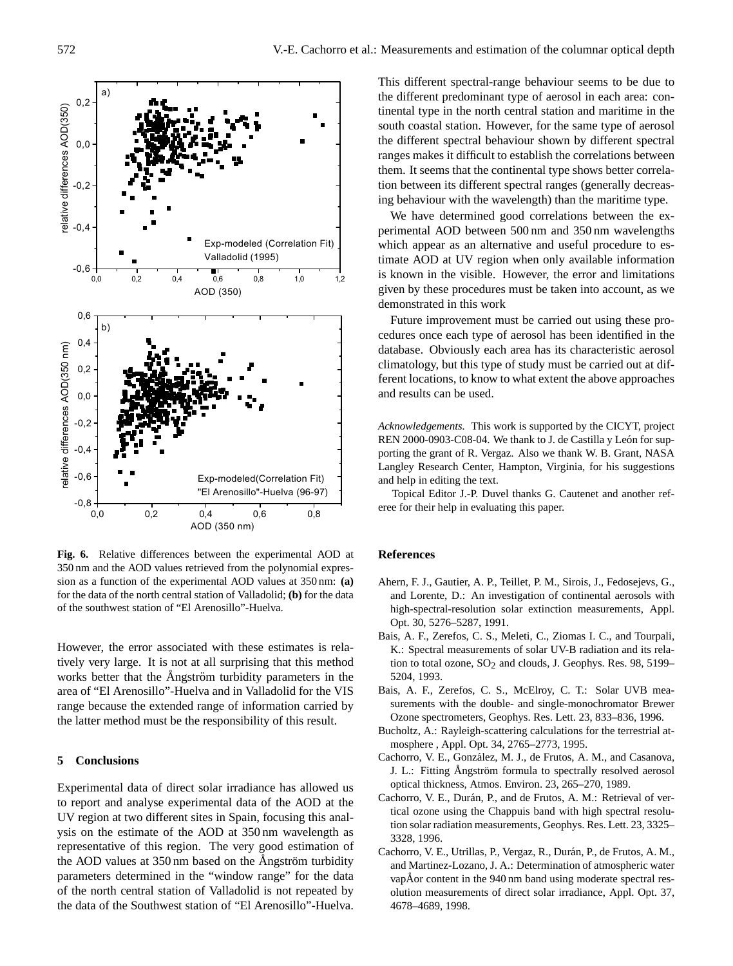

for the data of the north central station of Valladolid; **(b)** for the data **Fig. 6.** Relative differences between the experimental AOD at 350 nm and the AOD values retrieved from the polynomial expression as a function of the experimental AOD values at 350 nm: **(a)** of the southwest station of "El Arenosillo"-Huelva.

However, the error associated with these estimates is relatively very large. It is not at all surprising that this method works better that the Angström turbidity parameters in the area of "El Arenosillo"-Huelva and in Valladolid for the VIS range because the extended range of information carried by the latter method must be the responsibility of this result.

## **5 Conclusions**

Experimental data of direct solar irradiance has allowed us to report and analyse experimental data of the AOD at the UV region at two different sites in Spain, focusing this analysis on the estimate of the AOD at 350 nm wavelength as representative of this region. The very good estimation of the AOD values at 350 nm based on the Ångström turbidity parameters determined in the "window range" for the data of the north central station of Valladolid is not repeated by the data of the Southwest station of "El Arenosillo"-Huelva. This different spectral-range behaviour seems to be due to the different predominant type of aerosol in each area: continental type in the north central station and maritime in the south coastal station. However, for the same type of aerosol the different spectral behaviour shown by different spectral ranges makes it difficult to establish the correlations between them. It seems that the continental type shows better correlation between its different spectral ranges (generally decreasing behaviour with the wavelength) than the maritime type.

We have determined good correlations between the experimental AOD between 500 nm and 350 nm wavelengths which appear as an alternative and useful procedure to estimate AOD at UV region when only available information is known in the visible. However, the error and limitations given by these procedures must be taken into account, as we demonstrated in this work

Future improvement must be carried out using these procedures once each type of aerosol has been identified in the database. Obviously each area has its characteristic aerosol climatology, but this type of study must be carried out at different locations, to know to what extent the above approaches and results can be used.

*Acknowledgements.* This work is supported by the CICYT, project REN 2000-0903-C08-04. We thank to J. de Castilla y León for supporting the grant of R. Vergaz. Also we thank W. B. Grant, NASA Langley Research Center, Hampton, Virginia, for his suggestions and help in editing the text.

Topical Editor J.-P. Duvel thanks G. Cautenet and another referee for their help in evaluating this paper.

## **References**

- Ahern, F. J., Gautier, A. P., Teillet, P. M., Sirois, J., Fedosejevs, G., and Lorente, D.: An investigation of continental aerosols with high-spectral-resolution solar extinction measurements, Appl. Opt. 30, 5276–5287, 1991.
- Bais, A. F., Zerefos, C. S., Meleti, C., Ziomas I. C., and Tourpali, K.: Spectral measurements of solar UV-B radiation and its relation to total ozone,  $SO_2$  and clouds, J. Geophys. Res. 98, 5199– 5204, 1993.
- Bais, A. F., Zerefos, C. S., McElroy, C. T.: Solar UVB measurements with the double- and single-monochromator Brewer Ozone spectrometers, Geophys. Res. Lett. 23, 833–836, 1996.
- Bucholtz, A.: Rayleigh-scattering calculations for the terrestrial atmosphere , Appl. Opt. 34, 2765–2773, 1995.
- Cachorro, V. E., Gonzalez, M. J., de Frutos, A. M., and Casanova, ´ J. L.: Fitting Ångström formula to spectrally resolved aerosol optical thickness, Atmos. Environ. 23, 265–270, 1989.
- Cachorro, V. E., Durán, P., and de Frutos, A. M.: Retrieval of vertical ozone using the Chappuis band with high spectral resolution solar radiation measurements, Geophys. Res. Lett. 23, 3325– 3328, 1996.
- Cachorro, V. E., Utrillas, P., Vergaz, R., Durán, P., de Frutos, A. M., and Martinez-Lozano, J. A.: Determination of atmospheric water vapÅor content in the  $940 \text{ nm}$  band using moderate spectral resolution measurements of direct solar irradiance, Appl. Opt. 37, 4678–4689, 1998.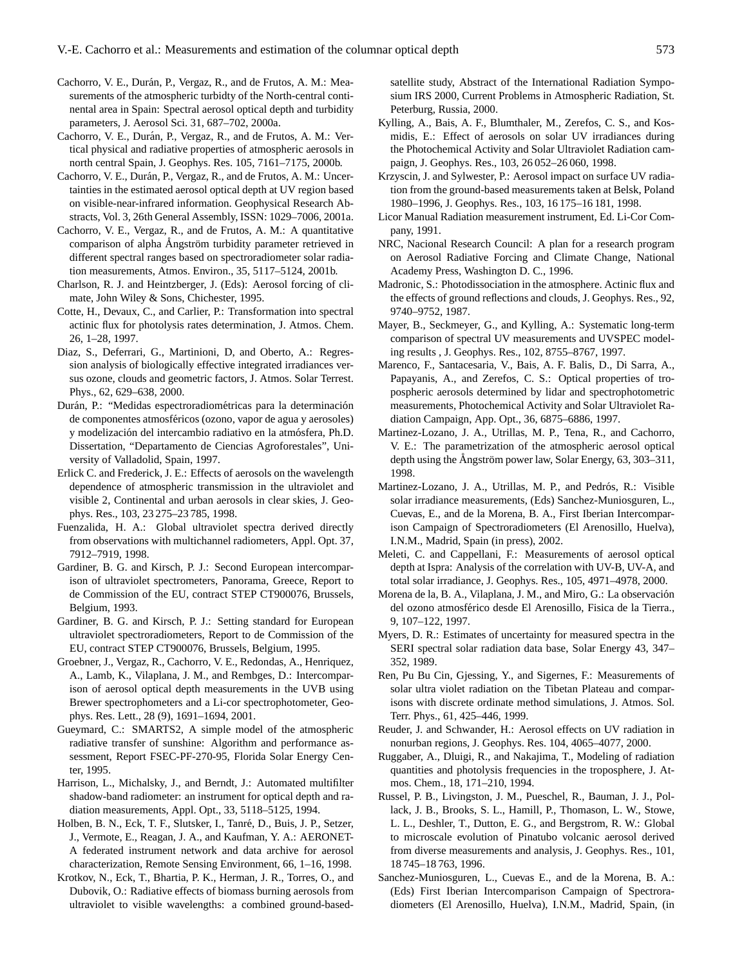- Cachorro, V. E., Durán, P., Vergaz, R., and de Frutos, A. M.: Measurements of the atmospheric turbidty of the North-central continental area in Spain: Spectral aerosol optical depth and turbidity parameters, J. Aerosol Sci. 31, 687–702, 2000a.
- Cachorro, V. E., Durán, P., Vergaz, R., and de Frutos, A. M.: Vertical physical and radiative properties of atmospheric aerosols in north central Spain, J. Geophys. Res. 105, 7161–7175, 2000b.
- Cachorro, V. E., Durán, P., Vergaz, R., and de Frutos, A. M.: Uncertainties in the estimated aerosol optical depth at UV region based on visible-near-infrared information. Geophysical Research Abstracts, Vol. 3, 26th General Assembly, ISSN: 1029–7006, 2001a.
- Cachorro, V. E., Vergaz, R., and de Frutos, A. M.: A quantitative comparison of alpha Angström turbidity parameter retrieved in different spectral ranges based on spectroradiometer solar radiation measurements, Atmos. Environ., 35, 5117–5124, 2001b.
- Charlson, R. J. and Heintzberger, J. (Eds): Aerosol forcing of climate, John Wiley & Sons, Chichester, 1995.
- Cotte, H., Devaux, C., and Carlier, P.: Transformation into spectral actinic flux for photolysis rates determination, J. Atmos. Chem. 26, 1–28, 1997.
- Diaz, S., Deferrari, G., Martinioni, D, and Oberto, A.: Regression analysis of biologically effective integrated irradiances versus ozone, clouds and geometric factors, J. Atmos. Solar Terrest. Phys., 62, 629–638, 2000.
- Durán, P.: "Medidas espectroradiométricas para la determinación de componentes atmosféricos (ozono, vapor de agua y aerosoles) y modelización del intercambio radiativo en la atmósfera, Ph.D. Dissertation, "Departamento de Ciencias Agroforestales", University of Valladolid, Spain, 1997.
- Erlick C. and Frederick, J. E.: Effects of aerosols on the wavelength dependence of atmospheric transmission in the ultraviolet and visible 2, Continental and urban aerosols in clear skies, J. Geophys. Res., 103, 23 275–23 785, 1998.
- Fuenzalida, H. A.: Global ultraviolet spectra derived directly from observations with multichannel radiometers, Appl. Opt. 37, 7912–7919, 1998.
- Gardiner, B. G. and Kirsch, P. J.: Second European intercomparison of ultraviolet spectrometers, Panorama, Greece, Report to de Commission of the EU, contract STEP CT900076, Brussels, Belgium, 1993.
- Gardiner, B. G. and Kirsch, P. J.: Setting standard for European ultraviolet spectroradiometers, Report to de Commission of the EU, contract STEP CT900076, Brussels, Belgium, 1995.
- Groebner, J., Vergaz, R., Cachorro, V. E., Redondas, A., Henriquez, A., Lamb, K., Vilaplana, J. M., and Rembges, D.: Intercomparison of aerosol optical depth measurements in the UVB using Brewer spectrophometers and a Li-cor spectrophotometer, Geophys. Res. Lett., 28 (9), 1691–1694, 2001.
- Gueymard, C.: SMARTS2, A simple model of the atmospheric radiative transfer of sunshine: Algorithm and performance assessment, Report FSEC-PF-270-95, Florida Solar Energy Center, 1995.
- Harrison, L., Michalsky, J., and Berndt, J.: Automated multifilter shadow-band radiometer: an instrument for optical depth and radiation measurements, Appl. Opt., 33, 5118–5125, 1994.
- Holben, B. N., Eck, T. F., Slutsker, I., Tanré, D., Buis, J. P., Setzer, J., Vermote, E., Reagan, J. A., and Kaufman, Y. A.: AERONET-A federated instrument network and data archive for aerosol characterization, Remote Sensing Environment, 66, 1–16, 1998.
- Krotkov, N., Eck, T., Bhartia, P. K., Herman, J. R., Torres, O., and Dubovik, O.: Radiative effects of biomass burning aerosols from ultraviolet to visible wavelengths: a combined ground-based-

satellite study, Abstract of the International Radiation Symposium IRS 2000, Current Problems in Atmospheric Radiation, St. Peterburg, Russia, 2000.

- Kylling, A., Bais, A. F., Blumthaler, M., Zerefos, C. S., and Kosmidis, E.: Effect of aerosols on solar UV irradiances during the Photochemical Activity and Solar Ultraviolet Radiation campaign, J. Geophys. Res., 103, 26 052–26 060, 1998.
- Krzyscin, J. and Sylwester, P.: Aerosol impact on surface UV radiation from the ground-based measurements taken at Belsk, Poland 1980–1996, J. Geophys. Res., 103, 16 175–16 181, 1998.
- Licor Manual Radiation measurement instrument, Ed. Li-Cor Company, 1991.
- NRC, Nacional Research Council: A plan for a research program on Aerosol Radiative Forcing and Climate Change, National Academy Press, Washington D. C., 1996.
- Madronic, S.: Photodissociation in the atmosphere. Actinic flux and the effects of ground reflections and clouds, J. Geophys. Res., 92, 9740–9752, 1987.
- Mayer, B., Seckmeyer, G., and Kylling, A.: Systematic long-term comparison of spectral UV measurements and UVSPEC modeling results , J. Geophys. Res., 102, 8755–8767, 1997.
- Marenco, F., Santacesaria, V., Bais, A. F. Balis, D., Di Sarra, A., Papayanis, A., and Zerefos, C. S.: Optical properties of tropospheric aerosols determined by lidar and spectrophotometric measurements, Photochemical Activity and Solar Ultraviolet Radiation Campaign, App. Opt., 36, 6875–6886, 1997.
- Martinez-Lozano, J. A., Utrillas, M. P., Tena, R., and Cachorro, V. E.: The parametrization of the atmospheric aerosol optical depth using the Ångström power law, Solar Energy,  $63$ ,  $303-311$ , 1998.
- Martinez-Lozano, J. A., Utrillas, M. P., and Pedrós, R.: Visible solar irradiance measurements, (Eds) Sanchez-Muniosguren, L., Cuevas, E., and de la Morena, B. A., First Iberian Intercomparison Campaign of Spectroradiometers (El Arenosillo, Huelva), I.N.M., Madrid, Spain (in press), 2002.
- Meleti, C. and Cappellani, F.: Measurements of aerosol optical depth at Ispra: Analysis of the correlation with UV-B, UV-A, and total solar irradiance, J. Geophys. Res., 105, 4971–4978, 2000.
- Morena de la, B. A., Vilaplana, J. M., and Miro, G.: La observación del ozono atmosférico desde El Arenosillo, Fisica de la Tierra., 9, 107–122, 1997.
- Myers, D. R.: Estimates of uncertainty for measured spectra in the SERI spectral solar radiation data base, Solar Energy 43, 347– 352, 1989.
- Ren, Pu Bu Cin, Gjessing, Y., and Sigernes, F.: Measurements of solar ultra violet radiation on the Tibetan Plateau and comparisons with discrete ordinate method simulations, J. Atmos. Sol. Terr. Phys., 61, 425–446, 1999.
- Reuder, J. and Schwander, H.: Aerosol effects on UV radiation in nonurban regions, J. Geophys. Res. 104, 4065–4077, 2000.
- Ruggaber, A., Dluigi, R., and Nakajima, T., Modeling of radiation quantities and photolysis frequencies in the troposphere, J. Atmos. Chem., 18, 171–210, 1994.
- Russel, P. B., Livingston, J. M., Pueschel, R., Bauman, J. J., Pollack, J. B., Brooks, S. L., Hamill, P., Thomason, L. W., Stowe, L. L., Deshler, T., Dutton, E. G., and Bergstrom, R. W.: Global to microscale evolution of Pinatubo volcanic aerosol derived from diverse measurements and analysis, J. Geophys. Res., 101, 18 745–18 763, 1996.
- Sanchez-Muniosguren, L., Cuevas E., and de la Morena, B. A.: (Eds) First Iberian Intercomparison Campaign of Spectroradiometers (El Arenosillo, Huelva), I.N.M., Madrid, Spain, (in